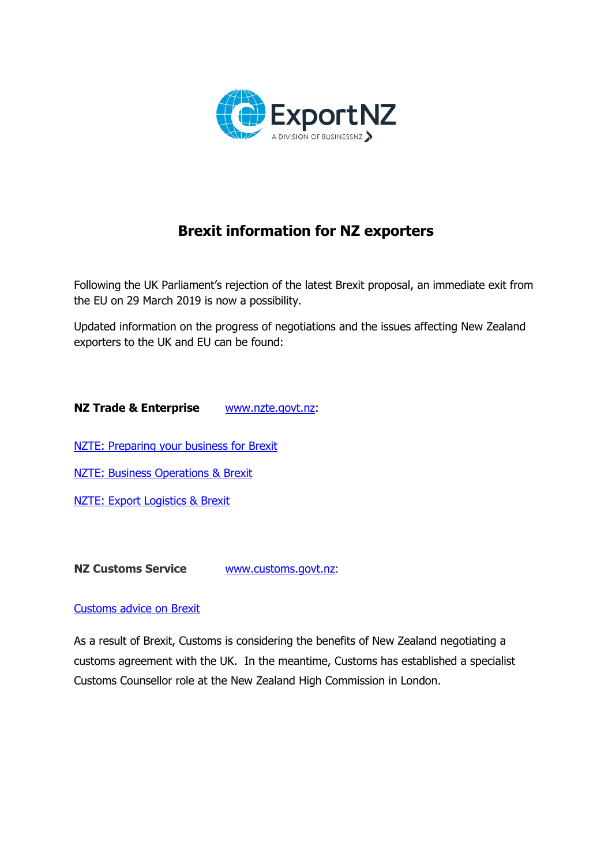

# **Brexit information for NZ exporters**

Following the UK Parliament's rejection of the latest Brexit proposal, an immediate exit from the EU on 29 March 2019 is now a possibility.

Updated information on the progress of negotiations and the issues affecting New Zealand exporters to the UK and EU can be found:

**NZ Trade & Enterprise** [www.nzte.govt.nz:](http://www.nzte.govt.nz/)

[NZTE: Preparing your business for Brexit](https://www.nzte.govt.nz/export-assistance/regional-resources/europe/brexit)

**NZTE: Business [Operations](https://www.nzte.govt.nz/export-assistance/regional-resources/europe/brexit/business-operations) & Brexit** 

[NZTE: Export Logistics & Brexit](https://www.nzte.govt.nz/export-assistance/regional-resources/europe/brexit/export-logistics)

**NZ Customs Service** [www.customs.govt.nz:](http://www.customs.govt.nz/)

#### [Customs advice on Brexit](https://www.customs.govt.nz/brexit)

As a result of Brexit, Customs is considering the benefits of New Zealand negotiating a customs agreement with the UK. In the meantime, Customs has established a specialist Customs Counsellor role at the New Zealand High Commission in London.